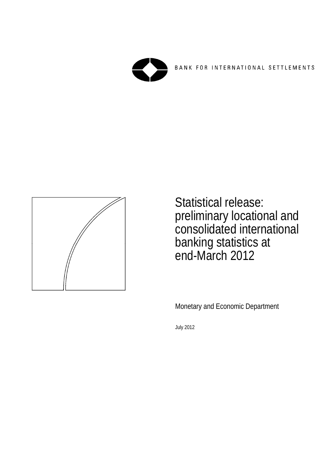

BANK FOR INTERNATIONAL SETTLEMENTS



Statistical release: preliminary locational and consolidated international banking statistics at end-March 2012

Monetary and Economic Department

July 2012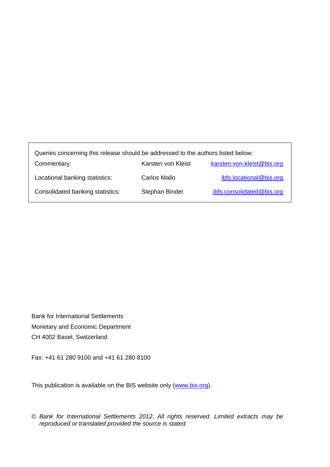| Queries concerning this release should be addressed to the authors listed below: |                    |                            |  |  |  |  |  |  |
|----------------------------------------------------------------------------------|--------------------|----------------------------|--|--|--|--|--|--|
| Commentary:                                                                      | Karsten von Kleist | karsten.von-kleist@bis.org |  |  |  |  |  |  |
| Locational banking statistics:                                                   | Carlos Mallo       | ibfs.locational@bis.org    |  |  |  |  |  |  |
| Consolidated banking statistics:                                                 | Stephan Binder     | ibfs.consolidated@bis.org  |  |  |  |  |  |  |

Bank for International Settlements Monetary and Economic Department CH 4002 Basel, Switzerland

Fax: +41 61 280 9100 and +41 61 280 8100

This publication is available on the BIS website only (www.bis.org).

© *Bank for International Settlements 2012. All rights reserved. Limited extracts may be reproduced or translated provided the source is stated.*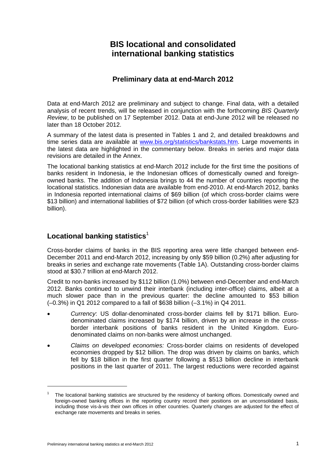# **BIS locational and consolidated international banking statistics**

# **Preliminary data at end-March 2012**

Data at end-March 2012 are preliminary and subject to change. Final data, with a detailed analysis of recent trends, will be released in conjunction with the forthcoming *BIS Quarterly Review*, to be published on 17 September 2012. Data at end-June 2012 will be released no later than 18 October 2012.

A summary of the latest data is presented in Tables 1 and 2, and detailed breakdowns and time series data are available at www.bis.org/statistics/bankstats.htm. Large movements in the latest data are highlighted in the commentary below. Breaks in series and major data revisions are detailed in the Annex.

The locational banking statistics at end-March 2012 include for the first time the positions of banks resident in Indonesia, ie the Indonesian offices of domestically owned and foreignowned banks. The addition of Indonesia brings to 44 the number of countries reporting the locational statistics. Indonesian data are available from end-2010. At end-March 2012, banks in Indonesia reported international claims of \$69 billion (of which cross-border claims were \$13 billion) and international liabilities of \$72 billion (of which cross-border liabilities were \$23 billion).

# **Locational banking statistics**<sup>1</sup>

Cross-border claims of banks in the BIS reporting area were little changed between end-December 2011 and end-March 2012, increasing by only \$59 billion (0.2%) after adjusting for breaks in series and exchange rate movements (Table 1A). Outstanding cross-border claims stood at \$30.7 trillion at end-March 2012.

Credit to non-banks increased by \$112 billion (1.0%) between end-December and end-March 2012. Banks continued to unwind their interbank (including inter-office) claims, albeit at a much slower pace than in the previous quarter: the decline amounted to \$53 billion (–0.3%) in Q1 2012 compared to a fall of \$638 billion (–3.1%) in Q4 2011.

- *Currency*: US dollar-denominated cross-border claims fell by \$171 billion. Eurodenominated claims increased by \$174 billion, driven by an increase in the crossborder interbank positions of banks resident in the United Kingdom. Eurodenominated claims on non-banks were almost unchanged.
- *Claims on developed economies:* Cross-border claims on residents of developed economies dropped by \$12 billion. The drop was driven by claims on banks, which fell by \$18 billion in the first quarter following a \$513 billion decline in interbank positions in the last quarter of 2011. The largest reductions were recorded against

<sup>1</sup> The locational banking statistics are structured by the residency of banking offices. Domestically owned and foreign-owned banking offices in the reporting country record their positions on an unconsolidated basis, including those vis-à-vis their own offices in other countries. Quarterly changes are adjusted for the effect of exchange rate movements and breaks in series.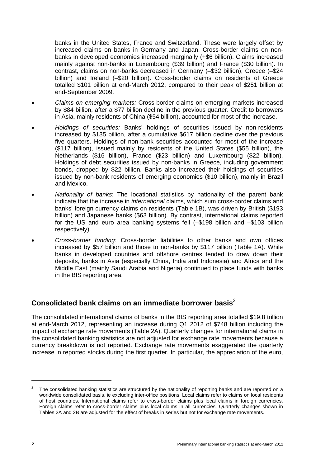banks in the United States, France and Switzerland. These were largely offset by increased claims on banks in Germany and Japan. Cross-border claims on nonbanks in developed economies increased marginally (+\$6 billion). Claims increased mainly against non-banks in Luxembourg (\$39 billion) and France (\$30 billion). In contrast, claims on non-banks decreased in Germany (–\$32 billion), Greece (–\$24 billion) and Ireland (–\$20 billion). Cross-border claims on residents of Greece totalled \$101 billion at end-March 2012, compared to their peak of \$251 billion at end-September 2009.

- *Claims on emerging markets:* Cross-border claims on emerging markets increased by \$84 billion, after a \$77 billion decline in the previous quarter. Credit to borrowers in Asia, mainly residents of China (\$54 billion), accounted for most of the increase.
- *Holdings of securities:* Banks' holdings of securities issued by non-residents increased by \$135 billion, after a cumulative \$617 billion decline over the previous five quarters. Holdings of non-bank securities accounted for most of the increase (\$117 billion), issued mainly by residents of the United States (\$55 billion), the Netherlands (\$16 billion), France (\$23 billion) and Luxembourg (\$22 billion). Holdings of debt securities issued by non-banks in Greece, including government bonds, dropped by \$22 billion. Banks also increased their holdings of securities issued by non-bank residents of emerging economies (\$10 billion), mainly in Brazil and Mexico.
- *Nationality of banks*: The locational statistics by nationality of the parent bank indicate that the increase in *international* claims, which sum cross-border claims and banks' foreign currency claims on residents (Table 1B), was driven by British (\$193 billion) and Japanese banks (\$63 billion). By contrast, international claims reported for the US and euro area banking systems fell (–\$198 billion and –\$103 billion respectively).
- *Cross-border funding:* Cross-border liabilities to other banks and own offices increased by \$57 billion and those to non-banks by \$117 billion (Table 1A). While banks in developed countries and offshore centres tended to draw down their deposits, banks in Asia (especially China, India and Indonesia) and Africa and the Middle East (mainly Saudi Arabia and Nigeria) continued to place funds with banks in the BIS reporting area.

# **Consolidated bank claims on an immediate borrower basis**<sup>2</sup>

The consolidated international claims of banks in the BIS reporting area totalled \$19.8 trillion at end-March 2012, representing an increase during Q1 2012 of \$748 billion including the impact of exchange rate movements (Table 2A). Quarterly changes for international claims in the consolidated banking statistics are not adjusted for exchange rate movements because a currency breakdown is not reported. Exchange rate movements exaggerated the quarterly increase in reported stocks during the first quarter. In particular, the appreciation of the euro,

 $\overline{a}$ 

<sup>2</sup> The consolidated banking statistics are structured by the nationality of reporting banks and are reported on a worldwide consolidated basis, ie excluding inter-office positions. Local claims refer to claims on local residents of host countries. International claims refer to cross-border claims plus local claims in foreign currencies. Foreign claims refer to cross-border claims plus local claims in all currencies. Quarterly changes shown in Tables 2A and 2B are adjusted for the effect of breaks in series but not for exchange rate movements.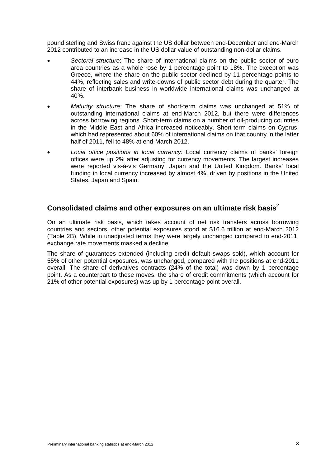pound sterling and Swiss franc against the US dollar between end-December and end-March 2012 contributed to an increase in the US dollar value of outstanding non-dollar claims.

- *Sectoral structure*: The share of international claims on the public sector of euro area countries as a whole rose by 1 percentage point to 18%. The exception was Greece, where the share on the public sector declined by 11 percentage points to 44%, reflecting sales and write-downs of public sector debt during the quarter. The share of interbank business in worldwide international claims was unchanged at 40%.
- *Maturity structure:* The share of short-term claims was unchanged at 51% of outstanding international claims at end-March 2012, but there were differences across borrowing regions. Short-term claims on a number of oil-producing countries in the Middle East and Africa increased noticeably. Short-term claims on Cyprus, which had represented about 60% of international claims on that country in the latter half of 2011, fell to 48% at end-March 2012.
- *Local office positions in local currency:* Local currency claims of banks' foreign offices were up 2% after adjusting for currency movements. The largest increases were reported vis-à-vis Germany, Japan and the United Kingdom. Banks' local funding in local currency increased by almost 4%, driven by positions in the United States, Japan and Spain.

# **Consolidated claims and other exposures on an ultimate risk basis**<sup>2</sup>

On an ultimate risk basis, which takes account of net risk transfers across borrowing countries and sectors, other potential exposures stood at \$16.6 trillion at end-March 2012 (Table 2B). While in unadjusted terms they were largely unchanged compared to end-2011, exchange rate movements masked a decline.

The share of guarantees extended (including credit default swaps sold), which account for 55% of other potential exposures, was unchanged, compared with the positions at end-2011 overall. The share of derivatives contracts (24% of the total) was down by 1 percentage point. As a counterpart to these moves, the share of credit commitments (which account for 21% of other potential exposures) was up by 1 percentage point overall.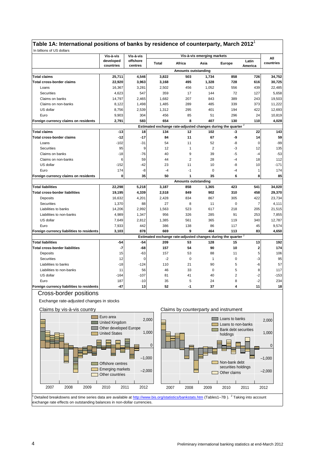# **Table 1A: International positions of banks by residence of counterparty, March 2012**<sup>1</sup>

|                                           | Vis-à-vis              | Vis-à-vis           |              |                                                                          | Vis-à-vis emerging markets |               |                         | All       |
|-------------------------------------------|------------------------|---------------------|--------------|--------------------------------------------------------------------------|----------------------------|---------------|-------------------------|-----------|
|                                           | developed<br>countries | offshore<br>centres | <b>Total</b> | Africa                                                                   | Asia                       | <b>Europe</b> | Latin<br>America        | countries |
|                                           |                        |                     |              | <b>Amounts outstanding</b>                                               |                            |               |                         |           |
| <b>Total claims</b>                       | 25,711                 | 4,546               | 3,822        | 503                                                                      | 1,734                      | 858           | 726                     | 34,752    |
| <b>Total cross-border claims</b>          | 22,920                 | 3,963               | 3,168        | 495                                                                      | 1,328                      | 728           | 616                     | 30,725    |
| Loans                                     | 16,367                 | 3,281               | 2,502        | 456                                                                      | 1,052                      | 556           | 439                     | 22,485    |
| Securities                                | 4,623                  | 547                 | 359          | 17                                                                       | 144                        | 72            | 127                     | 5,658     |
| Claims on banks                           | 14,797                 | 2,465               | 1,682        | 207                                                                      | 843                        | 389           | 243                     | 19,503    |
| Claims on non-banks                       | 8,122                  | 1,498               | 1,485        | 289                                                                      | 485                        | 339           | 373                     | 11,222    |
| US dollar                                 | 8,756                  | 2,539               | 1,312        | 295                                                                      | 401                        | 194           | 422                     | 12,693    |
| Euro                                      | 9,903                  | 304                 | 456          | 85                                                                       | 51                         | 296           | 24                      | 10,819    |
| Foreign currency claims on residents      | 2,791                  | 583                 | 654          | 8                                                                        | 407                        | 130           | 110                     | 4,028     |
|                                           |                        |                     |              | Estimated exchange rate-adjusted changes during the quarter <sup>2</sup> |                            |               |                         |           |
| <b>Total claims</b>                       | $-13$                  | 18                  | 134          | 12                                                                       | 102                        | -3            | 22                      | 143       |
| Total cross-border claims                 | $-12$                  | $-17$               | 84           | 11                                                                       | 67                         | -9            | 14                      | 59        |
| Loans                                     | $-102$                 | $-31$               | 54           | 11                                                                       | 52                         | -8            | $\Omega$                | $-99$     |
| Securities                                | 95                     | 9                   | 12           | $\mathbf{1}$                                                             | $\overline{2}$             | -3            | 12                      | 135       |
| Claims on banks                           | $-18$                  | $-76$               | 40           | 9                                                                        | 39                         | $-5$          | $-4$                    | $-53$     |
| Claims on non-banks                       | 6                      | 59                  | 44           | $\overline{2}$                                                           | 28                         | $-4$          | 18                      | 112       |
| US dollar                                 | $-152$                 | $-42$               | 23           | 11                                                                       | 10                         | -8            | 10                      | $-171$    |
| Euro                                      | 174                    | -8                  | $-4$         | $-1$                                                                     | $\mathbf 0$                | $-4$          | 1                       | 174       |
| Foreign currency claims on residents      | 0                      | 35                  | 50           | 1                                                                        | 35                         | 6             | 8                       | 85        |
|                                           |                        |                     |              | <b>Amounts outstanding</b>                                               |                            |               |                         |           |
| <b>Total liabilities</b>                  | 22,298                 | 5,218               | 3,187        | 858                                                                      | 1,365                      | 423           | 541                     | 34,020    |
| <b>Total cross-border liabilities</b>     | 19,195                 | 4,339               | 2,518        | 849                                                                      | 902                        | 310           | 458                     | 29,370    |
| Deposits                                  | 16,632                 | 4,201               | 2,428        | 834                                                                      | 867                        | 305           | 422                     | 23,734    |
| Securities                                | 1,370                  | 88                  | 27           | 8                                                                        | 11                         | $\mathbf 0$   | $\overline{7}$          | 4,111     |
| Liabilities to banks                      | 14,206                 | 2,992               | 1,563        | 523                                                                      | 617                        | 218           | 205                     | 21,515    |
| Liabilities to non-banks                  | 4,989                  | 1,347               | 956          | 326                                                                      | 285                        | 91            | 253                     | 7,855     |
| US dollar                                 | 7,649                  | 2,812               | 1,385        | 561                                                                      | 365                        | 119           | 340                     | 12,787    |
| Euro                                      | 7,933                  | 442                 | 386          | 138                                                                      | 86                         | 117           | 45                      | 9,574     |
| Foreign currency liabilities to residents | 3,103                  | 878                 | 669          | 9                                                                        | 464                        | 113           | 83                      | 4,650     |
|                                           |                        |                     |              | Estimated exchange rate-adjusted changes during the quarter <sup>2</sup> |                            |               |                         |           |
| <b>Total liabilities</b>                  | $-54$                  | $-54$               | 209          | 53                                                                       | 128                        | 15            | 13                      | 192       |
| <b>Total cross-border liabilities</b>     | $-7$                   | -68                 | 157          | 54                                                                       | 90                         | 10            | $\overline{\mathbf{2}}$ | 174       |
| Deposits                                  | 15                     | -63                 | 157          | 53                                                                       | 88                         | 11            | 5                       | 106       |
| Securities                                | 12                     | $\mathbf 0$         | $-2$         | $\mathbf 0$                                                              | $\mathbf{1}$               | $\mathbf 0$   | -3                      | 95        |
| Liabilities to banks                      | $-18$                  | $-124$              | 110          | 21                                                                       | 90                         | 5             | -6                      | 57        |
| Liabilities to non-banks                  | 11                     | 56                  | 46           | 33                                                                       | $\mathbf 0$                | 5             | 8                       | 117       |
| US dollar                                 | $-164$                 | $-107$              | 81           | 41                                                                       | 40                         | 2             | $-2$                    | $-153$    |
| Euro                                      | 187                    | $-10$               | 35           | 5                                                                        | 24                         | 8             | $-2$                    | 234       |
| Foreign currency liabilities to residents | $-47$                  | 13                  | 52           | -1                                                                       | 37                         | 4             | 11                      | 18        |

## Cross-border positions

Exchange rate-adjusted changes in stocks







Detailed breakdowns and time series data are available at http://www.bis.org/statistics/bankstats.htm (Tables1-7B). <sup>2</sup> Taking into account exchange rate effects on outstanding balances in non-dollar currencies.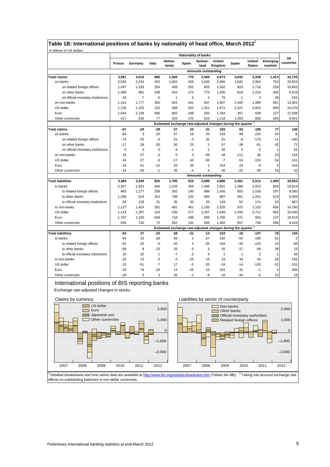| Table 1B: International positions of banks by nationality of head office, March 2012 |  |  |  |  |
|--------------------------------------------------------------------------------------|--|--|--|--|
|                                                                                      |  |  |  |  |

|                                   |                                                                          |                            |              |                                                                          |       | <b>Nationality of banks</b> |                   |              |                         |                     |                  |
|-----------------------------------|--------------------------------------------------------------------------|----------------------------|--------------|--------------------------------------------------------------------------|-------|-----------------------------|-------------------|--------------|-------------------------|---------------------|------------------|
|                                   | France                                                                   | Germany                    | Italy        | Nether-<br>lands                                                         | Spain | Switzer-<br>land            | United<br>Kingdom | Japan        | United<br><b>States</b> | Emerging<br>markets | All<br>countries |
|                                   |                                                                          | <b>Amounts outstanding</b> |              |                                                                          |       |                             |                   |              |                         |                     |                  |
| <b>Total claims</b>               | 3,691                                                                    | 4,010                      | 895          | 1,566                                                                    | 770   | 2,466                       | 4,873             | 4,042        | 4,349                   | 1,414               | 34,725           |
| on banks                          | 2,550                                                                    | 2,234                      | 503          | 1,004                                                                    | 429   | 1,630                       | 2,966             | 1,642        | 2,954                   | 753                 | 20,824           |
| on related foreign offices        | 1,047                                                                    | 1,235                      | 254          | 458                                                                      | 252   | 855                         | 1,592             | 823          | 1,718                   | 229                 | 10,663           |
| on other banks                    | 1,486                                                                    | 991                        | 248          | 544                                                                      | 174   | 773                         | 1,295             | 819          | 1,233                   | 485                 | 9,919            |
| on official monetary institutions | 18                                                                       | 7                          | $\mathbf 0$  | 1                                                                        | 3     | $\overline{2}$              | 79                | $\mathbf{1}$ | 3                       | 39                  | 243              |
| on non-banks                      | 1,141                                                                    | 1,777                      | 392          | 563                                                                      | 341   | 837                         | 1,907             | 2,400        | 1,395                   | 661                 | 13,901           |
| US dollar                         | 1,130                                                                    | 1,225                      | 122          | 368                                                                      | 252   | 1,261                       | 1,971             | 2,221        | 2,933                   | 960                 | 14,376           |
| Euro                              | 1,944                                                                    | 2,149                      | 696          | 865                                                                      | 348   | 583                         | 1,784             | 467          | 608                     | 127                 | 11,508           |
| Other currencies                  | 617                                                                      | 636                        | 77           | 333                                                                      | 170   | 623                         | 1,118             | 1,353        | 808                     | 326                 | 8,841            |
|                                   | Estimated exchange rate-adjusted changes during the quarter <sup>2</sup> |                            |              |                                                                          |       |                             |                   |              |                         |                     |                  |
| Total claims                      | $-67$                                                                    | $-24$                      | $-28$        | 57                                                                       | 22    | -31                         | 193               | 63           | $-198$                  | 77                  | 146              |
| on banks                          | $-84$                                                                    | 3                          | $-25$        | 57                                                                       | 19    | 35                          | 143               | $-48$        | $-234$                  | 54                  | -8               |
| on related foreign offices        | $-74$                                                                    | $-25$                      | $-5$         | 31                                                                       | $-3$  | 32                          | 51                | -9           | $-173$                  | 11                  | $-140$           |
| on other banks                    | $-17$                                                                    | 28                         | $-20$        | 30                                                                       | 23    | $\overline{2}$              | 67                | $-39$        | $-61$                   | 42                  | 71               |
| on official monetary institutions | 6                                                                        | $\mathbf 0$                | $\mathbf 0$  | $-4$                                                                     | $-1$  | $\mathbf{1}$                | 26                | $\mathbf 0$  | $\mathbf 0$             | 1                   | 62               |
| on non-banks                      | 18                                                                       | -27                        | -3           | 0                                                                        | 3     | -66                         | 49                | 111          | 36                      | 23                  | 154              |
| US dollar                         | $-34$                                                                    | $-27$                      | $-6$         | $-17$                                                                    | $-10$ | $-36$                       | $-7$              | 64           | $-153$                  | 54                  | $-141$           |
| Euro                              | $-19$                                                                    | 61                         | $-22$        | 39                                                                       | 36    | $\mathbf{1}$                | 154               | 24           | -9                      | 5                   | 244              |
| Other currencies                  | $-14$                                                                    | $-58$                      | $-1$         | 35                                                                       | $-4$  | $\overline{4}$              | 46                | $-25$        | $-36$                   | 18                  | 42               |
|                                   |                                                                          |                            |              |                                                                          |       | Amounts outstanding         |                   |              |                         |                     |                  |
| <b>Total liabilities</b>          | 3,484                                                                    | 3,349                      | 825          | 1,705                                                                    | 916   | 2,689                       | 4,886             | 2,361        | 5,012                   | 1,495               | 34,003           |
| to banks                          | 2,357                                                                    | 1,925                      | 544          | 1,225                                                                    | 455   | 1,496                       | 2,561             | 1,386        | 2,910                   | 839                 | 19,814           |
| to related foreign offices        | 965                                                                      | 1,177                      | 209          | 392                                                                      | 190   | 896                         | 1,456             | 653          | 1,535                   | 197                 | 9,580            |
| to other banks                    | 1,298                                                                    | 619                        | 314          | 798                                                                      | 232   | 580                         | 987               | 681          | 1,201                   | 619                 | 9,366            |
| to official monetary institutions | 94                                                                       | 129                        | 21           | 35                                                                       | 33    | 20                          | 118               | 52           | 174                     | 23                  | 867              |
| to non-banks                      | 1,127                                                                    | 1,424                      | 281          | 481                                                                      | 461   | 1,193                       | 2,325             | 975          | 2,102                   | 656                 | 14,190           |
| US dollar                         | 1,143                                                                    | 1,287                      | 104          | 536                                                                      | 277   | 1,297                       | 1,649             | 1,434        | 3,711                   | 962                 | 15,040           |
| Euro                              | 1,707                                                                    | 1,320                      | 649          | 718                                                                      | 498   | 693                         | 1,755             | 271          | 554                     | 137                 | 10,519           |
| Other currencies                  | 635                                                                      | 742                        | 72           | 452                                                                      | 141   | 699                         | 1,482             | 657          | 748                     | 396                 | 8,443            |
|                                   |                                                                          |                            |              | Estimated exchange rate-adjusted changes during the quarter <sup>2</sup> |       |                             |                   |              |                         |                     |                  |
| <b>Total liabilities</b>          | $-62$                                                                    | 27                         | $-23$        | 58                                                                       | $-21$ | $-13$                       | 153               | $-16$        | $-137$                  | 78                  | 194              |
| to banks                          | $-94$                                                                    | 15                         | $-28$        | 59                                                                       | 2     | $-27$                       | 130               | $-50$        | $-180$                  | 52                  | $\overline{c}$   |
| to related foreign offices        | $-42$                                                                    | $-25$                      | -6           | 42                                                                       | 4     | $-35$                       | 104               | $-34$        | $-143$                  | 14                  | $-58$            |
| to other banks                    | $-68$                                                                    | 8                          | $-23$        | 25                                                                       | 0     | 3                           | 25                | $-17$        | $-39$                   | 39                  | 15               |
| to official monetary institutions | 16                                                                       | 32                         | $\mathbf{1}$ | $-7$                                                                     | $-2$  | $\overline{4}$              | $\mathbf{1}$      | $\mathbf{1}$ | $\overline{c}$          | $-1$                | 46               |
| to non-banks                      | 32                                                                       | 12                         | 5            | $-2$                                                                     | $-23$ | 15                          | 23                | 34           | 44                      | 26                  | 192              |
| US dollar                         | $-10$                                                                    | $-51$                      | $-7$         | 17                                                                       | $-5$  | $-20$                       | $-24$             | $-14$        | $-130$                  | 52                  | $-131$           |
| Euro                              | $-32$                                                                    | 78                         | $-19$        | 14                                                                       | $-15$ | 15                          | 161               | 31           | -1                      | 4                   | 306              |
| Other currencies                  | $-20$                                                                    | $\Omega$                   | 3            | 26                                                                       | $-1$  | $-8$                        | 16                | $-34$        | -6                      | 22                  | 19               |

# International positions of BIS reporting banks Exchange rate-adjusted changes in stocks



<sup>1</sup> Detailed breakdowns and time series data are available at http://www.bis.org/statistics/bankstats.htm (Tables 8A–8B). <sup>2</sup> Taking into account exchange rate effects on outstanding balances in non-dollar currencies.

٦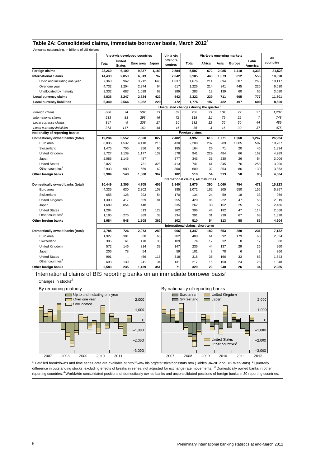| Table 2A: Consolidated claims, immediate borrower basis, March 2012 $^{\circ}$ |  |  |  |  |  |  |
|--------------------------------------------------------------------------------|--|--|--|--|--|--|
|--------------------------------------------------------------------------------|--|--|--|--|--|--|

| Amounts outstanding, in billions of US dollars |                |                         |                               |       |                                                    |                                      |        |       |        |                  |           |
|------------------------------------------------|----------------|-------------------------|-------------------------------|-------|----------------------------------------------------|--------------------------------------|--------|-------|--------|------------------|-----------|
|                                                |                |                         | Vis-à-vis developed countries |       | Vis-à-vis                                          | Vis-à-vis emerging markets           |        |       |        |                  | All       |
|                                                | <b>Total</b>   | United<br><b>States</b> | Euro area                     | Japan | offshore<br>centres                                | Total                                | Africa | Asia  | Europe | Latin<br>America | countries |
| <b>Foreign claims</b>                          | 23,269         | 6,100                   | 9,337                         | 1,189 | 2,584                                              | 5,507                                | 672    | 2,085 | 1,418  | 1,333            | 31,528    |
| <b>International claims</b>                    | 14,433         | 2,853                   | 6,513                         | 767   | 2,042                                              | 3,185                                | 443    | 1,373 | 812    | 556              | 19,828    |
| Up to and including one year                   | 7,368          | 962                     | 3,212                         | 640   | 1,037                                              | 1,676                                | 211    | 894   | 307    | 265              | 10,117    |
| Over one year                                  | 4,732          | 1,204                   | 2,274                         | 64    | 617                                                | 1,226                                | 214    | 341   | 445    | 226              | 6,630     |
| Unallocated by maturity                        | 2.332          | 687                     | 1.028                         | 63    | 389                                                | 283                                  | 19     | 139   | 60     | 65               | 3,080     |
| Local currency claims                          | 8,836          | 3,247                   | 2,824                         | 422   | 542                                                | 2,322                                | 229    | 711   | 605    | 777              | 11,701    |
| <b>Local currency liabilities</b>              | 6,340          | 2,566                   | 1,982                         | 229   | 472                                                | 1,776                                | 197    | 482   | 497    | 600              | 8,590     |
|                                                |                |                         |                               |       | Unadjusted changes during the quarter <sup>2</sup> |                                      |        |       |        |                  |           |
| Foreign claims                                 | 880            | 74                      | 502                           | 73    | 82                                                 | 250                                  | 23     | 104   | 72     | 51               | 1,237     |
| International claims                           | 533            | 83                      | 293                           | 46    | 72                                                 | 118                                  | 11     | 79    | 22     | 7                | 748       |
| Local currency claims                          | 347            | -9                      | 208                           | 27    | 10                                                 | 132                                  | 12     | 26    | 50     | 44               | 489       |
| Local currency liabilities                     | 373            | 117                     | 162                           | 18    | 16                                                 | 86                                   | 3      | 16    | 30     | 37               | 475       |
| Nationality of reporting banks:                | Foreign claims |                         |                               |       |                                                    |                                      |        |       |        |                  |           |
| Domestically owned banks (total)               | 19,284         | 5,552                   | 7.528                         | 827   | 2.482                                              | 4,997                                | 618    | 1,771 | 1,360  | 1,247            | 26,924    |
| Euro area                                      | 8,035          | 1,532                   | 4,118                         | 215   | 430                                                | 2,208                                | 237    | 289   | 1,085  | 597              | 10,737    |
| Switzerland                                    | 1,475          | 756                     | 356                           | 90    | 185                                                | 164                                  | 26     | 71    | 20     | 46               | 1,834     |
| United Kingdom                                 | 2,727          | 1,139                   | 1,177                         | 132   | 578                                                | 941                                  | 229    | 484   | 66     | 162              | 4,289     |
| Japan                                          | 2,086          | 1,145                   | 487                           |       | 577                                                | 343                                  | 33     | 230   | 26     | 54               | 3,006     |
| <b>United States</b>                           | 2,027          |                         | 731                           | 328   | 413                                                | 741                                  | 61     | 345   | 76     | 258              | 3,206     |
| Other countries <sup>3</sup>                   | 2,933          | 980                     | 659                           | 62    | 300                                                | 600                                  | 32     | 353   | 86     | 130              | 3,853     |
| Other foreign banks                            | 3.984          | 548                     | 1.808                         | 362   | 102                                                | 510                                  | 54     | 313   | 58     | 85               | 4.604     |
|                                                |                |                         |                               |       |                                                    | International claims, all maturities |        |       |        |                  |           |
| Domestically owned banks (total)               | 10,449         | 2,305                   | 4,705                         | 405   | 1,940                                              | 2,675                                | 390    | 1,060 | 754    | 471              | 15,223    |
| Euro area                                      | 4,335          | 630                     | 2,302                         | 108   | 385                                                | 1,072                                | 162    | 205   | 550    | 155              | 5,857     |
| Switzerland                                    | 655            | 128                     | 293                           | 54    | 170                                                | 134                                  | 24     | 59    | 18     | 33               | 966       |
| United Kingdom                                 | 1,300          | 417                     | 659                           | 81    | 255                                                | 420                                  | 96     | 222   | 47     | 56               | 2,019     |
| Japan                                          | 1,689          | 854                     | 448                           |       | 535                                                | 262                                  | 33     | 152   | 25     | 52               | 2,486     |
| <b>United States</b>                           | 1,284          |                         | 613                           | 123   | 362                                                | 396                                  | 44     | 192   | 47     | 114              | 2,068     |
| Other countries <sup>3</sup>                   | 1,185          | 276                     | 389                           | 38    | 234                                                | 391                                  | 31     | 230   | 67     | 63               | 1,828     |
| Other foreign banks                            | 3,984          | 548                     | 1.808                         | 362   | 102                                                | 510                                  | 54     | 313   | 58     | 85               | 4,604     |
|                                                |                |                         |                               |       |                                                    | International claims, short-term     |        |       |        |                  |           |
| Domestically owned banks (total)               | 4,785          | 726                     | 2,073                         | 289   | 966                                                | 1,347                                | 182    | 653   | 280    | 231              | 7,132     |
| Euro area                                      | 1,927          | 301                     | 830                           | 66    | 202                                                | 400                                  | 61     | 92    | 179    | 68               | 2,534     |
| Switzerland                                    | 395            | 61                      | 178                           | 35    | 109                                                | 74                                   | 17     | 32    | 8      | 17               | 580       |
| United Kingdom                                 | 572            | 146                     | 314                           | 39    | 147                                                | 236                                  | 44     | 137   | 29     | 26               | 960       |
| Japan                                          | 206            | 78                      | 54                            |       | 59                                                 | 101                                  | 8      | 78    | 6      | 9                | 366       |
| <b>United States</b>                           | 991            |                         | 456                           | 116   | 318                                                | 318                                  | 36     | 166   | 33     | 83               | 1,643     |
| Other countries <sup>3</sup>                   | 693            | 139                     | 241                           | 34    | 131                                                | 217                                  | 16     | 150   | 24     | 28               | 1,048     |
| Other foreign banks                            | 2.583          | 235                     | 1.139                         | 351   | 71                                                 | 329                                  | 29     | 240   | 26     | 34               | 2.985     |

International claims of BIS reporting banks on an immediate borrower basis<sup>4</sup> Changes in stocks<sup>2</sup>



By nationality of reporting banks<br>Euro area



 $^1$  Detailed breakdowns and time series data are available at http://www.bis.org/statistics/consstats.htm (Tables 9A–9B and BIS WebStats). <sup>2</sup> Quarterly difference in outstanding stocks, excluding effects of breaks in series, not adjusted for exchange rate movements. <sup>3</sup> Domestically owned banks in other reporting countries. <sup>4</sup> Worldwide consolidated positions of domestically owned banks and unconsolidated positions of foreign banks in 30 reporting countries.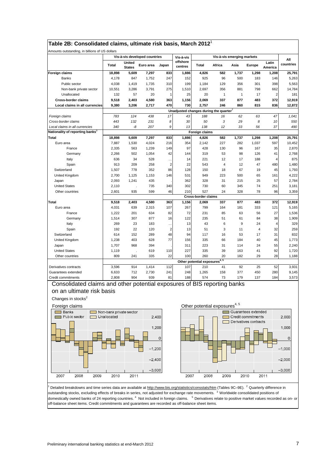|                                                                          | Table 2B: Consolidated claims, ultimate risk basis, March 2012 <sup>1</sup> |                                                    |                               |                |                                  |                                           |                            |              |                                           |                  |                  |
|--------------------------------------------------------------------------|-----------------------------------------------------------------------------|----------------------------------------------------|-------------------------------|----------------|----------------------------------|-------------------------------------------|----------------------------|--------------|-------------------------------------------|------------------|------------------|
| Amounts outstanding, in billions of US dollars                           |                                                                             |                                                    | Vis-à-vis developed countries |                |                                  |                                           | Vis-à-vis emerging markets |              |                                           |                  |                  |
|                                                                          | Total                                                                       | United<br><b>States</b>                            | Euro area                     | Japan          | Vis-à-vis<br>offshore<br>centres | Total                                     | Africa                     | Asia         | Europe                                    | Latin<br>America | All<br>countries |
| <b>Foreign claims</b>                                                    | 18,898                                                                      | 5,609                                              | 7,297                         | 833            | 1,886                            | 4,826                                     | 582                        | 1,737        | 1,298                                     | 1,208            | 25,791           |
| <b>Banks</b>                                                             | 4,178                                                                       | 847                                                | 1,752                         | 247            | 152                              | 925                                       | 96                         | 500          | 183                                       | 146              | 5,263            |
| Public sector                                                            | 4,038                                                                       | 1,419                                              | 1,735                         | 310            | 199                              | 1,184                                     | 129                        | 356          | 301                                       | 398              | 5,563            |
| Non-bank private sector                                                  | 10,551                                                                      | 3,286                                              | 3,791                         | 275            | 1,510                            | 2,697                                     | 356                        | 881          | 798                                       | 662              | 14,784           |
| Unallocated                                                              | 132                                                                         | 57                                                 | 20                            | 1              | 25                               | 20                                        | $\mathbf{1}$               | $\mathbf{1}$ | 17                                        | $\overline{2}$   | 181              |
| <b>Cross-border claims</b>                                               | 9,518                                                                       | 2,403                                              | 4,580                         | 363            | 1,156                            | 2,069                                     | 337                        | 877          | 483                                       | 372              | 12,919           |
| Local claims in all currencies                                           | 9,380                                                                       | 3,206                                              | 2,717                         | 470            | 730                              | 2,757                                     | 246                        | 860          | 815                                       | 836              | 12,872           |
|                                                                          |                                                                             | Unadjusted changes during the quarter <sup>2</sup> |                               |                |                                  |                                           |                            |              |                                           |                  |                  |
| Foreign claims                                                           | 783                                                                         | 124                                                | 438                           | 17             | 43                               | 188                                       | 16                         | 62           | 63                                        | 47               | 1,041            |
| Cross-border claims                                                      | 443                                                                         | 132                                                | 231                           | 8              | 30                               | 50                                        | 3                          | 29           | 8                                         | 10               | 550              |
| Local claims in all currencies                                           | 340                                                                         | -8                                                 | 207                           | 9              | 13                               | 138                                       | 12                         | 33           | 56                                        | 37               | 490              |
| Nationality of reporting banks <sup>3</sup>                              |                                                                             |                                                    |                               |                |                                  | Foreign claims                            |                            |              |                                           |                  |                  |
| <b>Total</b>                                                             | 18,898                                                                      | 5,609                                              | 7,297                         | 833            | 1,886                            | 4,826                                     | 582                        | 1,737        | 1,298                                     | 1,208            | 25,791           |
| Euro area                                                                | 7,887                                                                       | 1,530                                              | 4,024                         | 216            | 354                              | 2,142                                     | 227                        | 282          | 1,037                                     | 597              | 10,452           |
| France                                                                   | 2,335                                                                       | 563                                                | 1,239                         | 149            | 97                               | 428                                       | 130                        | 96           | 167                                       | 35               | 2,870            |
| Germany                                                                  | 2,266                                                                       | 502                                                | 1,054                         | 42             | 144                              | 319                                       | 53                         | 98           | 126                                       | 41               | 2,768            |
| Italy                                                                    | 636                                                                         | 34                                                 | 528                           | $\ddots$       | 14                               | 221                                       | 12                         | 17           | 188                                       | 4                | 875              |
| Spain                                                                    | 913                                                                         | 209                                                | 258                           | $\overline{2}$ | 22                               | 543                                       | $\overline{4}$             | 12           | 47                                        | 480              | 1,480            |
| Switzerland                                                              | 1,507                                                                       | 778                                                | 352                           | 86             | 128                              | 150                                       | 18                         | 67           | 19                                        | 45               | 1,793            |
| United Kingdom                                                           | 2,700                                                                       | 1,125                                              | 1,153                         | 146            | 531                              | 949                                       | 223                        | 500          | 65                                        | 161              | 4,222            |
| Japan                                                                    | 2,093                                                                       | 1,241                                              | 435                           |                | 362                              | 328                                       | 31                         | 215          | 25                                        | 57               | 2,784            |
| <b>United States</b>                                                     | 2,110                                                                       |                                                    | 735                           | 340            | 302                              | 730                                       | 60                         | 345          | 74                                        | 251              | 3,181            |
| Other countries                                                          | 2,601                                                                       | 935                                                | 599                           | 46             | 210                              | 527                                       | 24                         | 328          | 78                                        | 96               | 3,359            |
|                                                                          |                                                                             |                                                    |                               |                |                                  | <b>Cross-border claims</b>                |                            |              |                                           |                  |                  |
| Total                                                                    | 9,518                                                                       | 2,403                                              | 4,580                         | 363            | 1,156                            | 2,069                                     | 337                        | 877          | 483                                       | 372              | 12,919           |
| Euro area                                                                | 4,031                                                                       | 639                                                | 2,315                         | 107            | 267                              | 799                                       | 164                        | 181          | 333                                       | 121              | 5,165            |
| France                                                                   | 1,222                                                                       | 201                                                | 634                           | 82             | 72                               | 231                                       | 85                         | 63           | 56                                        | 27               | 1,536            |
| Germany                                                                  | 1,514                                                                       | 307                                                | 877                           | 16             | 122                              | 235                                       | 51                         | 61           | 84                                        | 38               | 1,909            |
| Italy                                                                    | 269                                                                         | 23                                                 | 183                           | $\cdots$       | 13                               | 43                                        | 6                          | 9            | 24                                        | 4                | 329              |
| Spain                                                                    | 192                                                                         | 22                                                 | 120                           | $\overline{2}$ | 13                               | 51                                        | 3                          | 11           | 4                                         | 32               | 259              |
| Switzerland                                                              | 614                                                                         | 152                                                | 289                           | 48             | 94                               | 117                                       | 16                         | 53           | 17                                        | 31               | 832              |
| United Kingdom                                                           | 1,238                                                                       | 403                                                | 628                           | 77             | 156                              | 335                                       | 66                         | 184          | 40                                        | 45               | 1,773            |
| Japan                                                                    | 1,707                                                                       | 968                                                | 394                           |                | 311                              | 223                                       | 31                         | 114          | 24                                        | 55               | 2,240            |
| <b>United States</b>                                                     | 1,119                                                                       |                                                    | 619                           | 110            | 227                              | 335                                       | 39                         | 163          | 41                                        | 92               | 1,720            |
| Other countries                                                          | 809                                                                         | 241                                                | 335                           | 22             | 100                              | 260                                       | 20                         | 182          | 29                                        | 28               | 1,188            |
|                                                                          |                                                                             |                                                    |                               |                |                                  | Other potential exposures <sup>4, 5</sup> |                            |              |                                           |                  |                  |
| Derivatives contracts                                                    | 3,596                                                                       | 914                                                | 1,414                         | 112            | 107                              | 210                                       | 41                         | 92           | 25                                        | 52               | 3,931            |
| Guarantees extended                                                      | 6,633                                                                       | 712                                                | 2,730                         | 241            | 248                              | 1,265                                     | 158                        | 377          | 450                                       | 280              | 9,145            |
| Credit commitments                                                       | 2,808                                                                       | 904                                                | 939                           | 81             | 188                              | 574                                       | 73                         | 179          | 137                                       | 184              | 3,573            |
| Consolidated claims and other potential exposures of BIS reporting banks |                                                                             |                                                    |                               |                |                                  |                                           |                            |              |                                           |                  |                  |
| on an ultimate risk basis                                                |                                                                             |                                                    |                               |                |                                  |                                           |                            |              |                                           |                  |                  |
| Changes in stocks <sup>2</sup>                                           |                                                                             |                                                    |                               |                |                                  |                                           |                            |              |                                           |                  |                  |
| Foreign claims                                                           |                                                                             |                                                    |                               |                |                                  | Other potential exposures <sup>4, 5</sup> |                            |              |                                           |                  |                  |
| Banks<br>Public sector                                                   | Non-bank private sector<br>Unallocated                                      |                                                    | 2,400                         |                |                                  |                                           |                            |              | Guarantees extended<br>Credit commitments |                  | 2,000            |
|                                                                          |                                                                             |                                                    |                               |                |                                  |                                           |                            |              | $\Box$ Derivatives contracts              |                  |                  |
|                                                                          | 1,200<br>1,000                                                              |                                                    |                               |                |                                  |                                           |                            |              |                                           |                  |                  |
|                                                                          |                                                                             | 0<br>0                                             |                               |                |                                  |                                           |                            |              |                                           |                  |                  |
|                                                                          | $-1,200$<br>$-1,000$                                                        |                                                    |                               |                |                                  |                                           |                            |              |                                           |                  |                  |
|                                                                          |                                                                             |                                                    | $-2,400$                      |                |                                  |                                           |                            |              |                                           |                  | $-2,000$         |
| 2008<br>2009<br>2007                                                     | 2010                                                                        | 2011                                               | $-3,600$                      |                | 2007                             | 2008                                      | 2009                       |              | 2010                                      | 2011             | $-3,000$         |
|                                                                          |                                                                             |                                                    |                               |                |                                  |                                           |                            |              |                                           |                  |                  |

<sup>1</sup> Detailed breakdowns and time series data are available at http://www.bis.org/statistics/consstats/htm (Tables 9C–9E). <sup>2</sup> Quarterly difference in outstanding stocks, excluding effects of breaks in series, not adjusted for exchange rate movements. <sup>3</sup> Worldwide consolidated positions of domestically owned banks of 24 reporting countries. <sup>4</sup> Not included in foreign claims. <sup>5</sup> Derivatives relate to positive market values recorded as on- or off-balance sheet items. Credit commitments and guarantees are recorded as off-balance sheet items.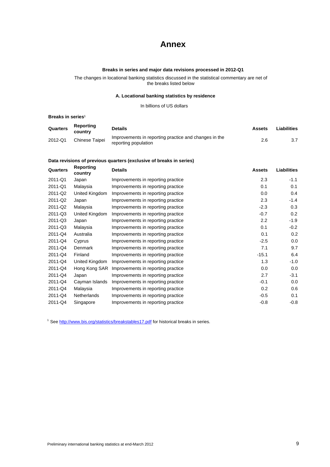# **Annex**

## **Breaks in series and major data revisions processed in 2012-Q1**

The changes in locational banking statistics discussed in the statistical commentary are net of the breaks listed below

#### **A. Locational banking statistics by residence**

#### In billions of US dollars

#### **Breaks in series<sup>1</sup>**

| Quarters | Reporting<br>country | <b>Details</b>                                                                | Assets | Liabilities |
|----------|----------------------|-------------------------------------------------------------------------------|--------|-------------|
| 2012-Q1  | Chinese Taipei       | Improvements in reporting practice and changes in the<br>reporting population | 2.6    | 3.7         |

# **Data revisions of previous quarters (exclusive of breaks in series)**

| Reporting<br>country | <b>Details</b>                     | <b>Assets</b> | <b>Liabilities</b> |
|----------------------|------------------------------------|---------------|--------------------|
| Japan                | Improvements in reporting practice | 2.3           | $-1.1$             |
| Malaysia             | Improvements in reporting practice | 0.1           | 0.1                |
| United Kingdom       | Improvements in reporting practice | 0.0           | 0.4                |
| Japan                | Improvements in reporting practice | 2.3           | $-1.4$             |
| Malaysia             | Improvements in reporting practice | $-2.3$        | 0.3                |
| United Kingdom       | Improvements in reporting practice | $-0.7$        | 0.2                |
| Japan                | Improvements in reporting practice | 2.2           | $-1.9$             |
| Malaysia             | Improvements in reporting practice | 0.1           | $-0.2$             |
| Australia            | Improvements in reporting practice | 0.1           | 0.2                |
| Cyprus               | Improvements in reporting practice | $-2.5$        | 0.0                |
| Denmark              | Improvements in reporting practice | 7.1           | 9.7                |
| Finland              | Improvements in reporting practice | $-15.1$       | 6.4                |
| United Kingdom       | Improvements in reporting practice | 1.3           | $-1.0$             |
| Hong Kong SAR        | Improvements in reporting practice | 0.0           | 0.0                |
| Japan                | Improvements in reporting practice | 2.7           | $-3.1$             |
| Cayman Islands       | Improvements in reporting practice | $-0.1$        | 0.0                |
| Malaysia             | Improvements in reporting practice | 0.2           | 0.6                |
| Netherlands          | Improvements in reporting practice | $-0.5$        | 0.1                |
| Singapore            | Improvements in reporting practice | $-0.8$        | $-0.8$             |
|                      |                                    |               |                    |

<sup>1</sup> See http://www.bis.org/statistics/breakstables17.pdf for historical breaks in series.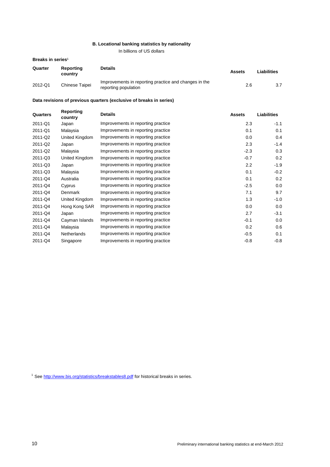## **B. Locational banking statistics by nationality**

In billions of US dollars

### **Breaks in series<sup>1</sup>**

| Quarter | Reporting<br>country | <b>Details</b>                                                                | Assets | Liabilities |
|---------|----------------------|-------------------------------------------------------------------------------|--------|-------------|
| 2012-Q1 | Chinese Taipei       | Improvements in reporting practice and changes in the<br>reporting population | 2.6    | 3.7         |

## **Data revisions of previous quarters (exclusive of breaks in series)**

| Quarters | Reporting<br>country | <b>Details</b>                     | <b>Assets</b> | <b>Liabilities</b> |
|----------|----------------------|------------------------------------|---------------|--------------------|
| 2011-Q1  | Japan                | Improvements in reporting practice | 2.3           | $-1.1$             |
| 2011-Q1  | Malaysia             | Improvements in reporting practice | 0.1           | 0.1                |
| 2011-Q2  | United Kingdom       | Improvements in reporting practice | 0.0           | 0.4                |
| 2011-Q2  | Japan                | Improvements in reporting practice | 2.3           | $-1.4$             |
| 2011-Q2  | Malaysia             | Improvements in reporting practice | $-2.3$        | 0.3                |
| 2011-Q3  | United Kingdom       | Improvements in reporting practice | $-0.7$        | 0.2                |
| 2011-Q3  | Japan                | Improvements in reporting practice | 2.2           | $-1.9$             |
| 2011-Q3  | Malaysia             | Improvements in reporting practice | 0.1           | $-0.2$             |
| 2011-Q4  | Australia            | Improvements in reporting practice | 0.1           | 0.2                |
| 2011-Q4  | Cyprus               | Improvements in reporting practice | $-2.5$        | 0.0                |
| 2011-Q4  | Denmark              | Improvements in reporting practice | 7.1           | 9.7                |
| 2011-Q4  | United Kingdom       | Improvements in reporting practice | 1.3           | $-1.0$             |
| 2011-Q4  | Hong Kong SAR        | Improvements in reporting practice | 0.0           | 0.0                |
| 2011-Q4  | Japan                | Improvements in reporting practice | 2.7           | $-3.1$             |
| 2011-Q4  | Cayman Islands       | Improvements in reporting practice | $-0.1$        | 0.0                |
| 2011-Q4  | Malaysia             | Improvements in reporting practice | 0.2           | 0.6                |
| 2011-Q4  | <b>Netherlands</b>   | Improvements in reporting practice | $-0.5$        | 0.1                |
| 2011-Q4  | Singapore            | Improvements in reporting practice | $-0.8$        | $-0.8$             |
|          |                      |                                    |               |                    |

<sup>1</sup> See http://www.bis.org/statistics/breakstables8.pdf for historical breaks in series.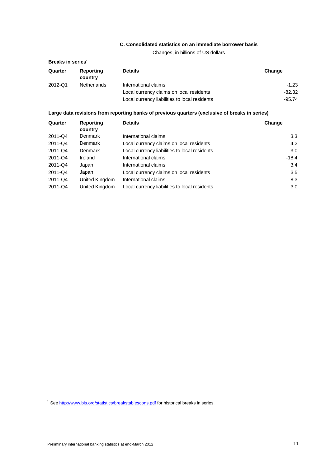# **C. Consolidated statistics on an immediate borrower basis**

Changes, in billions of US dollars

| Breaks in series <sup>1</sup> |                            |                                                                                                |          |  |  |  |  |  |  |
|-------------------------------|----------------------------|------------------------------------------------------------------------------------------------|----------|--|--|--|--|--|--|
| Quarter                       | Reporting<br>country       | <b>Details</b>                                                                                 | Change   |  |  |  |  |  |  |
| 2012-Q1                       | <b>Netherlands</b>         | International claims                                                                           | $-1.23$  |  |  |  |  |  |  |
|                               |                            | Local currency claims on local residents                                                       | $-82.32$ |  |  |  |  |  |  |
|                               |                            | Local currency liabilities to local residents                                                  | $-95.74$ |  |  |  |  |  |  |
|                               |                            | Large data revisions from reporting banks of previous quarters (exclusive of breaks in series) |          |  |  |  |  |  |  |
| Quarter                       | Reporting<br><b>COUPTY</b> | <b>Details</b>                                                                                 | Change   |  |  |  |  |  |  |

|         | country        |                                               |         |
|---------|----------------|-----------------------------------------------|---------|
| 2011-Q4 | Denmark        | International claims                          | 3.3     |
| 2011-Q4 | Denmark        | Local currency claims on local residents      | 4.2     |
| 2011-Q4 | Denmark        | Local currency liabilities to local residents | 3.0     |
| 2011-Q4 | Ireland        | International claims                          | $-18.4$ |
| 2011-Q4 | Japan          | International claims                          | 3.4     |
| 2011-Q4 | Japan          | Local currency claims on local residents      | 3.5     |
| 2011-Q4 | United Kingdom | International claims                          | 8.3     |
| 2011-Q4 | United Kingdom | Local currency liabilities to local residents | 3.0     |

<sup>1</sup> See http://www.bis.org/statistics/breakstablescons.pdf for historical breaks in series.